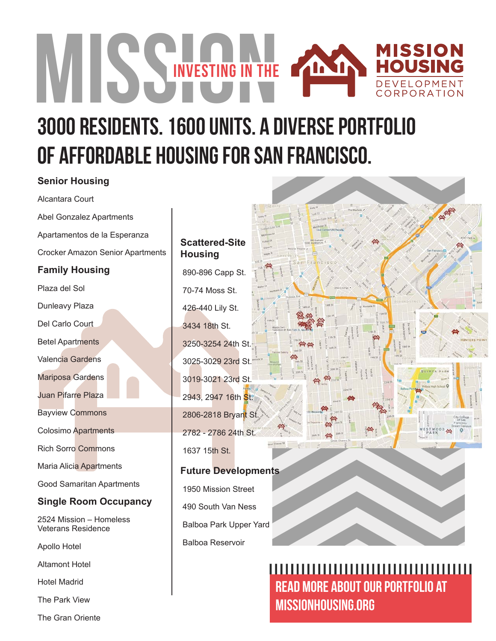# MISSING IN THE MISSION **HOUSING** ild. DEVELOPMENT ORPORATION

# 3000 residents. 1600 units. A diverse portfolio of affordable housing for san francisco.

# **Senior Housing**

Alcantara Court

Abel Gonzalez Apartments Apartamentos de la Esperanza Crocker Amazon Senior Apartments **Family Housing** Plaza del Sol Dunleavy Plaza Del Carlo Court Betel Apartments Valencia Gardens Mariposa Gardens Juan Pifarre Plaza Bayview Commons Colosimo Apartments Rich Sorro Commons Maria Alicia Apartments Good Samaritan Apartments **Single Room Occupancy** 2524 Mission – Homeless Veterans Residence

Apollo Hotel

Altamont Hotel

Hotel Madrid

The Park View

The Gran Oriente

#### **Scattered-Site Housing**

 890-896 Capp St. 70-74 Moss St. 426-440 Lily St. 3434 18th St. 3250-3254 24th St. 3025-3029 23rd St. 3019-3021 23rd St. 2943, 2947 16th St. 2806-2818 Bryant St. 2782 - 2786 24th St. 1637 15th St.

#### **Future Developments**

 1950 Mission Street 490 South Van Ness Balboa Park Upper Yard Balboa Reservoir

# ,,,,,,,,,,,,,,,,,,,,,,,,,,,,,,,,,,,,, READ MORE ABOUT OUR portfolio AT MISSIONHOUSING.ORG